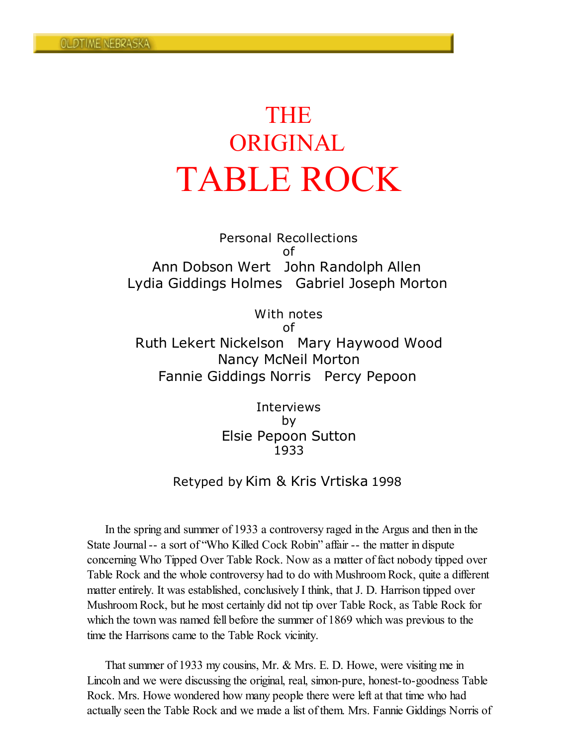# THE ORIGINAL TABLE ROCK

Personal Recollections of Ann Dobson Wert John Randolph Allen Lydia Giddings Holmes Gabriel Joseph Morton

With notes of Ruth Lekert Nickelson Mary Haywood Wood Nancy McNeil Morton Fannie Giddings Norris Percy Pepoon

> **Interviews** by Elsie Pepoon Sutton 1933

## Retyped by Kim & Kris Vrtiska 1998

In the spring and summer of 1933 a controversy raged in the Argus and then in the State Journal-- a sort of "Who Killed Cock Robin" affair -- the matter in dispute concerning Who Tipped Over Table Rock. Now as a matter of fact nobody tipped over Table Rock and the whole controversy had to do with Mushroom Rock, quite a different matter entirely. It was established, conclusively I think, that J. D. Harrison tipped over Mushroom Rock, but he most certainly did not tip over Table Rock, as Table Rock for which the town was named fell before the summer of 1869 which was previous to the time the Harrisons came to the Table Rock vicinity.

That summer of 1933 my cousins, Mr. & Mrs. E. D. Howe, were visiting me in Lincoln and we were discussing the original, real, simon-pure, honest-to-goodness Table Rock. Mrs. Howe wondered how many people there were left at that time who had actually seen the Table Rock and we made a list of them. Mrs. Fannie Giddings Norris of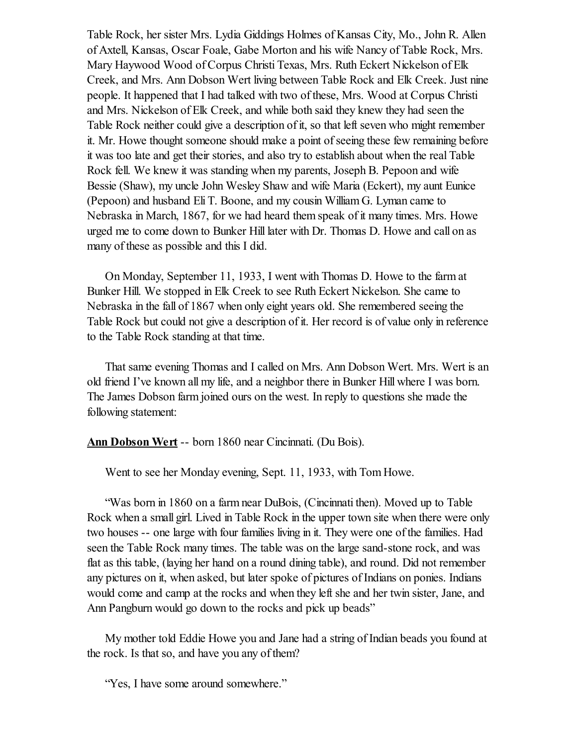Table Rock, her sister Mrs. Lydia Giddings Holmes of Kansas City, Mo., John R. Allen of Axtell, Kansas, Oscar Foale, Gabe Morton and his wife Nancy of Table Rock, Mrs. Mary Haywood Wood of Corpus Christi Texas, Mrs. Ruth Eckert Nickelson of Elk Creek, and Mrs. Ann Dobson Wert living between Table Rock and Elk Creek. Just nine people. It happened that I had talked with two of these, Mrs. Wood at Corpus Christi and Mrs. Nickelson of Elk Creek, and while both said they knew they had seen the Table Rock neither could give a description of it, so that left seven who might remember it. Mr. Howe thought someone should make a point of seeing these few remaining before it was too late and get their stories, and also try to establish about when the real Table Rock fell. We knew it was standing when my parents, Joseph B. Pepoon and wife Bessie (Shaw), my uncle John Wesley Shaw and wife Maria (Eckert), my aunt Eunice (Pepoon) and husband Eli T. Boone, and my cousin William G. Lyman came to Nebraska in March, 1867, for we had heard them speak of it many times. Mrs. Howe urged me to come down to Bunker Hill later with Dr. Thomas D. Howe and call on as many of these as possible and this I did.

On Monday, September 11, 1933, I went with Thomas D. Howe to the farm at Bunker Hill. We stopped in Elk Creek to see Ruth Eckert Nickelson. She came to Nebraska in the fall of 1867 when only eight years old. She remembered seeing the Table Rock but could not give a description of it. Her record is of value only in reference to the Table Rock standing at that time.

That same evening Thomas and I called on Mrs. Ann Dobson Wert. Mrs. Wert is an old friend I've known all my life, and a neighbor there in Bunker Hill where I was born. The James Dobson farm joined ours on the west. In reply to questions she made the following statement:

Ann Dobson Wert -- born 1860 near Cincinnati. (Du Bois).

Went to see her Monday evening, Sept. 11, 1933, with Tom Howe.

"Was born in 1860 on a farm near DuBois, (Cincinnati then). Moved up to Table Rock when a small girl. Lived in Table Rock in the upper town site when there were only two houses -- one large with four families living in it. They were one of the families. Had seen the Table Rock many times. The table was on the large sand-stone rock, and was flat as this table, (laying her hand on a round dining table), and round. Did not remember any pictures on it, when asked, but later spoke of pictures of Indians on ponies. Indians would come and camp at the rocks and when they left she and her twin sister, Jane, and Ann Pangburn would go down to the rocks and pick up beads"

My mother told Eddie Howe you and Jane had a string of Indian beads you found at the rock. Is that so, and have you any of them?

"Yes, I have some around somewhere."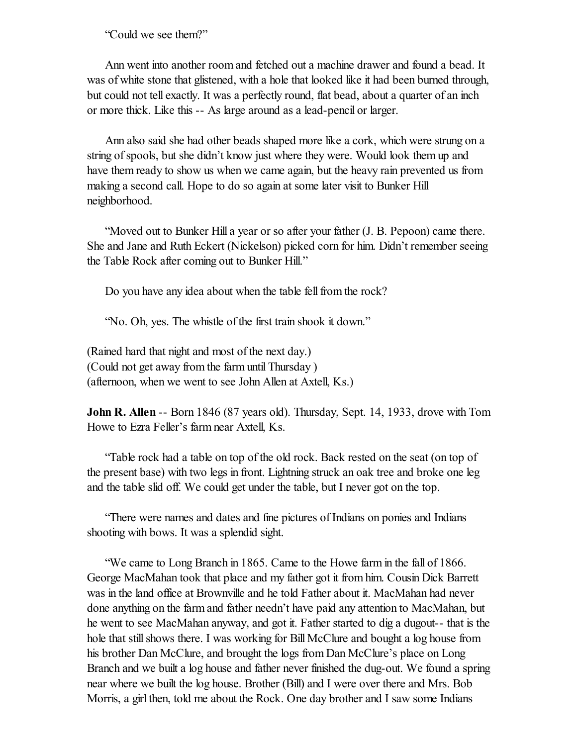"Could we see them?"

Ann went into another room and fetched out a machine drawer and found a bead. It was of white stone that glistened, with a hole that looked like it had been burned through, but could not tell exactly. It was a perfectly round, flat bead, about a quarter of an inch or more thick. Like this -- As large around as a lead-pencil or larger.

Ann also said she had other beads shaped more like a cork, which were strung on a string of spools, but she didn't know just where they were. Would look them up and have them ready to show us when we came again, but the heavy rain prevented us from making a second call. Hope to do so again at some later visit to Bunker Hill neighborhood.

"Moved out to Bunker Hill a year or so after your father (J. B. Pepoon) came there. She and Jane and Ruth Eckert (Nickelson) picked corn for him. Didn't remember seeing the Table Rock after coming out to Bunker Hill."

Do you have any idea about when the table fell from the rock?

"No. Oh, yes. The whistle of the first train shook it down."

(Rained hard that night and most of the next day.) (Could not get away from the farm until Thursday ) (afternoon, when we went to see John Allen at Axtell, Ks.)

John R. Allen -- Born 1846 (87 years old). Thursday, Sept. 14, 1933, drove with Tom Howe to Ezra Feller's farm near Axtell, Ks.

"Table rock had a table on top of the old rock. Back rested on the seat (on top of the present base) with two legs in front. Lightning struck an oak tree and broke one leg and the table slid off. We could get under the table, but I never got on the top.

"There were names and dates and fine pictures of Indians on ponies and Indians shooting with bows. It was a splendid sight.

"We came to Long Branch in 1865. Came to the Howe farm in the fall of 1866. George MacMahan took that place and my father got it from him. Cousin Dick Barrett was in the land office at Brownville and he told Father about it. MacMahan had never done anything on the farm and father needn't have paid any attention to MacMahan, but he went to see MacMahan anyway, and got it. Father started to dig a dugout-- that is the hole that still shows there. I was working for Bill McClure and bought a log house from his brother Dan McClure, and brought the logs from Dan McClure's place on Long Branch and we built a log house and father never finished the dug-out. We found a spring near where we built the log house. Brother (Bill) and I were over there and Mrs. Bob Morris, a girl then, told me about the Rock. One day brother and I saw some Indians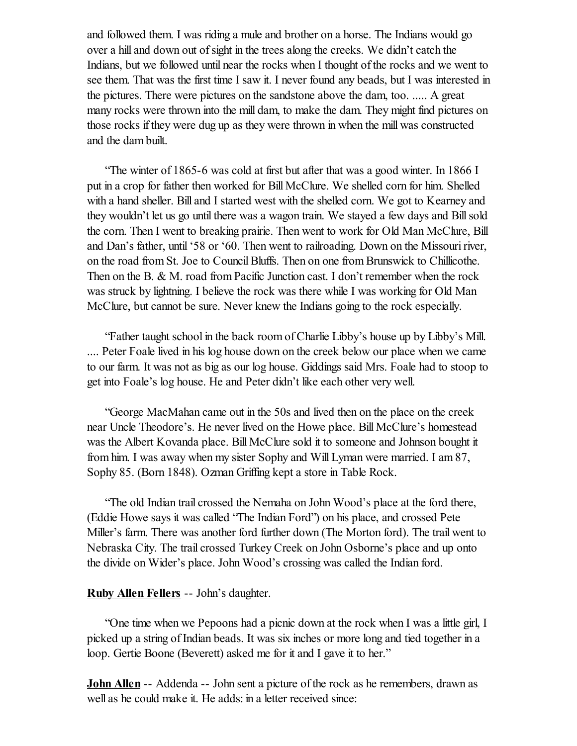and followed them. I was riding a mule and brother on a horse. The Indians would go over a hill and down out of sight in the trees along the creeks. We didn't catch the Indians, but we followed until near the rocks when I thought of the rocks and we went to see them. That was the first time I saw it. I never found any beads, but I was interested in the pictures. There were pictures on the sandstone above the dam, too. ..... A great many rocks were thrown into the mill dam, to make the dam. They might find pictures on those rocks if they were dug up as they were thrown in when the mill was constructed and the dam built.

"The winter of 1865-6 was cold at first but after that was a good winter. In 1866 I put in a crop for father then worked for Bill McClure. We shelled corn for him. Shelled with a hand sheller. Bill and I started west with the shelled corn. We got to Kearney and they wouldn't let us go until there was a wagon train. We stayed a few days and Bill sold the corn. Then I went to breaking prairie. Then went to work for Old Man McClure, Bill and Dan's father, until '58 or '60. Then went to railroading. Down on the Missouri river, on the road from St. Joe to CouncilBluffs. Then on one from Brunswick to Chillicothe. Then on the B. & M. road from Pacific Junction cast. I don't remember when the rock was struck by lightning. I believe the rock was there while I was working for Old Man McClure, but cannot be sure. Never knew the Indians going to the rock especially.

"Father taught school in the back room of Charlie Libby's house up by Libby's Mill. .... Peter Foale lived in his log house down on the creek below our place when we came to our farm. It was not as big as our log house. Giddings said Mrs. Foale had to stoop to get into Foale's log house. He and Peter didn't like each other very well.

"George MacMahan came out in the 50s and lived then on the place on the creek near Uncle Theodore's. He never lived on the Howe place. Bill McClure's homestead was the Albert Kovanda place. Bill McClure sold it to someone and Johnson bought it from him. I was away when my sister Sophy and Will Lyman were married. I am 87, Sophy 85. (Born 1848). Ozman Griffing kept a store in Table Rock.

"The old Indian trail crossed the Nemaha on John Wood's place at the ford there, (Eddie Howe says it was called "The Indian Ford") on his place, and crossed Pete Miller's farm. There was another ford further down (The Morton ford). The trail went to Nebraska City. The trail crossed Turkey Creek on John Osborne's place and up onto the divide on Wider's place. John Wood's crossing was called the Indian ford.

## Ruby Allen Fellers -- John's daughter.

"One time when we Pepoons had a picnic down at the rock when I was a little girl, I picked up a string of Indian beads. It was six inches or more long and tied together in a loop. Gertie Boone (Beverett) asked me for it and I gave it to her."

**John Allen** -- Addenda -- John sent a picture of the rock as he remembers, drawn as well as he could make it. He adds: in a letter received since: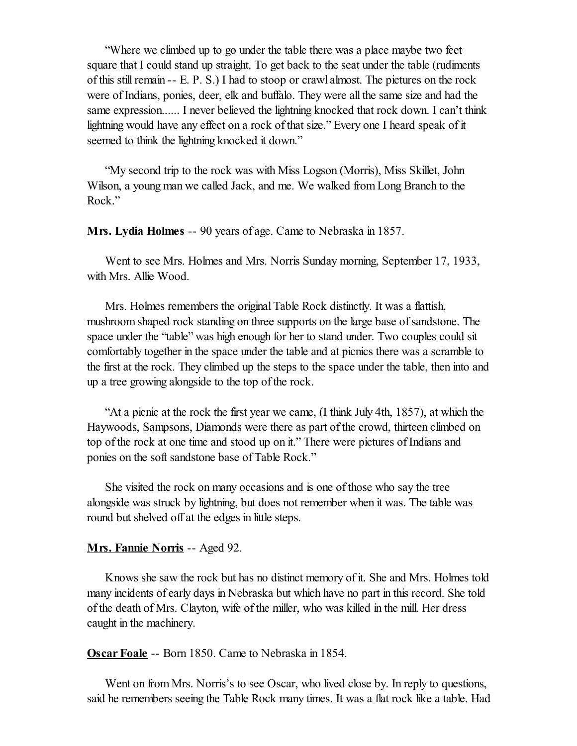"Where we climbed up to go under the table there was a place maybe two feet square that I could stand up straight. To get back to the seat under the table (rudiments of this still remain  $- E. P. S.$ ) I had to stoop or crawl almost. The pictures on the rock were of Indians, ponies, deer, elk and buffalo. They were all the same size and had the same expression...... I never believed the lightning knocked that rock down. I can't think lightning would have any effect on a rock of that size." Every one I heard speak of it seemed to think the lightning knocked it down."

"My second trip to the rock was with Miss Logson (Morris), Miss Skillet, John Wilson, a young man we called Jack, and me. We walked from Long Branch to the Rock."

Mrs. Lydia Holmes -- 90 years of age. Came to Nebraska in 1857.

Went to see Mrs. Holmes and Mrs. Norris Sunday morning, September 17, 1933, with Mrs. Allie Wood.

Mrs. Holmes remembers the original Table Rock distinctly. It was a flattish, mushroom shaped rock standing on three supports on the large base of sandstone. The space under the "table" was high enough for her to stand under. Two couples could sit comfortably together in the space under the table and at picnics there was a scramble to the first at the rock. They climbed up the steps to the space under the table, then into and up a tree growing alongside to the top of the rock.

"At a picnic at the rock the first year we came, (I think July 4th, 1857), at which the Haywoods, Sampsons, Diamonds were there as part of the crowd, thirteen climbed on top of the rock at one time and stood up on it." There were pictures of Indians and ponies on the soft sandstone base of Table Rock."

She visited the rock on many occasions and is one of those who say the tree alongside was struck by lightning, but does not remember when it was. The table was round but shelved off at the edges in little steps.

#### Mrs. Fannie Norris -- Aged 92.

Knows she saw the rock but has no distinct memory of it. She and Mrs. Holmes told many incidents of early days in Nebraska but which have no part in this record. She told of the death of Mrs. Clayton, wife of the miller, who was killed in the mill. Her dress caught in the machinery.

Oscar Foale -- Born 1850. Came to Nebraska in 1854.

Went on from Mrs. Norris's to see Oscar, who lived close by. In reply to questions, said he remembers seeing the Table Rock many times. It was a flat rock like a table. Had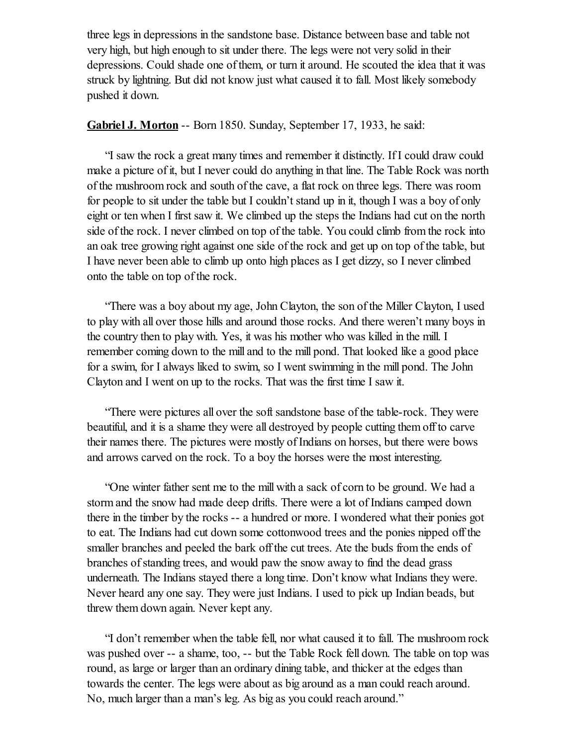three legs in depressions in the sandstone base. Distance between base and table not very high, but high enough to sit under there. The legs were not very solid in their depressions. Could shade one of them, or turn it around. He scouted the idea that it was struck by lightning. But did not know just what caused it to fall. Most likely somebody pushed it down.

## Gabriel J. Morton -- Born 1850. Sunday, September 17, 1933, he said:

"I saw the rock a great many times and remember it distinctly. If I could draw could make a picture of it, but I never could do anything in that line. The Table Rock was north of the mushroom rock and south of the cave, a flat rock on three legs. There was room for people to sit under the table but I couldn't stand up in it, though I was a boy of only eight or ten when I first saw it. We climbed up the steps the Indians had cut on the north side of the rock. I never climbed on top of the table. You could climb from the rock into an oak tree growing right against one side of the rock and get up on top of the table, but I have never been able to climb up onto high places as I get dizzy, so I never climbed onto the table on top of the rock.

"There was a boy about my age, John Clayton, the son of the Miller Clayton, I used to play with all over those hills and around those rocks. And there weren't many boys in the country then to play with. Yes, it was his mother who was killed in the mill. I remember coming down to the mill and to the mill pond. That looked like a good place for a swim, for I always liked to swim, so I went swimming in the mill pond. The John Clayton and I went on up to the rocks. That was the first time I saw it.

"There were pictures all over the soft sandstone base of the table-rock. They were beautiful, and it is a shame they were all destroyed by people cutting them off to carve their names there. The pictures were mostly of Indians on horses, but there were bows and arrows carved on the rock. To a boy the horses were the most interesting.

"One winter father sent me to the mill with a sack of corn to be ground. We had a storm and the snow had made deep drifts. There were a lot of Indians camped down there in the timber by the rocks -- a hundred or more. I wondered what their ponies got to eat. The Indians had cut down some cottonwood trees and the ponies nipped off the smaller branches and peeled the bark off the cut trees. Ate the buds from the ends of branches of standing trees, and would paw the snow away to find the dead grass underneath. The Indians stayed there a long time. Don't know what Indians they were. Never heard any one say. They were just Indians. I used to pick up Indian beads, but threw them down again. Never kept any.

"I don't remember when the table fell, nor what caused it to fall. The mushroom rock was pushed over -- a shame, too, -- but the Table Rock fell down. The table on top was round, as large or larger than an ordinary dining table, and thicker at the edges than towards the center. The legs were about as big around as a man could reach around. No, much larger than a man's leg. As big as you could reach around."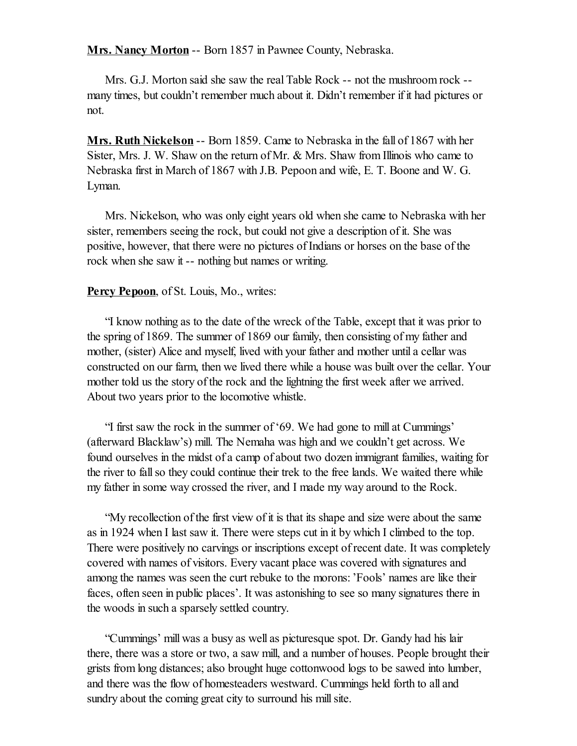Mrs. Nancy Morton -- Born 1857 in Pawnee County, Nebraska.

Mrs. G.J. Morton said she saw the real Table Rock -- not the mushroom rock - many times, but couldn't remember much about it. Didn't remember if it had pictures or not.

Mrs. Ruth Nickelson -- Born 1859. Came to Nebraska in the fall of 1867 with her Sister, Mrs. J. W. Shaw on the return of Mr. & Mrs. Shaw from Illinois who came to Nebraska first in March of 1867 with J.B. Pepoon and wife, E. T. Boone and W. G. Lyman.

Mrs. Nickelson, who was only eight years old when she came to Nebraska with her sister, remembers seeing the rock, but could not give a description of it. She was positive, however, that there were no pictures of Indians or horses on the base of the rock when she saw it -- nothing but names or writing.

## Percy Pepoon, of St. Louis, Mo., writes:

"I know nothing as to the date of the wreck of the Table, except that it was prior to the spring of 1869. The summer of 1869 our family, then consisting of my father and mother, (sister) Alice and myself, lived with your father and mother until a cellar was constructed on our farm, then we lived there while a house was built over the cellar. Your mother told us the story of the rock and the lightning the first week after we arrived. About two years prior to the locomotive whistle.

"I first saw the rock in the summer of '69. We had gone to mill at Cummings' (afterward Blacklaw's) mill. The Nemaha was high and we couldn't get across. We found ourselves in the midst of a camp of about two dozen immigrant families, waiting for the river to fallso they could continue their trek to the free lands. We waited there while my father in some way crossed the river, and I made my way around to the Rock.

"My recollection of the first view of it is that its shape and size were about the same as in 1924 when I last saw it. There were steps cut in it by which I climbed to the top. There were positively no carvings or inscriptions except of recent date. It was completely covered with names of visitors. Every vacant place was covered with signatures and among the names was seen the curt rebuke to the morons:'Fools' names are like their faces, often seen in public places'. It was astonishing to see so many signatures there in the woods in such a sparsely settled country.

"Cummings' mill was a busy as well as picturesque spot. Dr. Gandy had his lair there, there was a store or two, a saw mill, and a number of houses. People brought their grists from long distances; also brought huge cottonwood logs to be sawed into lumber, and there was the flow of homesteaders westward. Cummings held forth to all and sundry about the coming great city to surround his mill site.